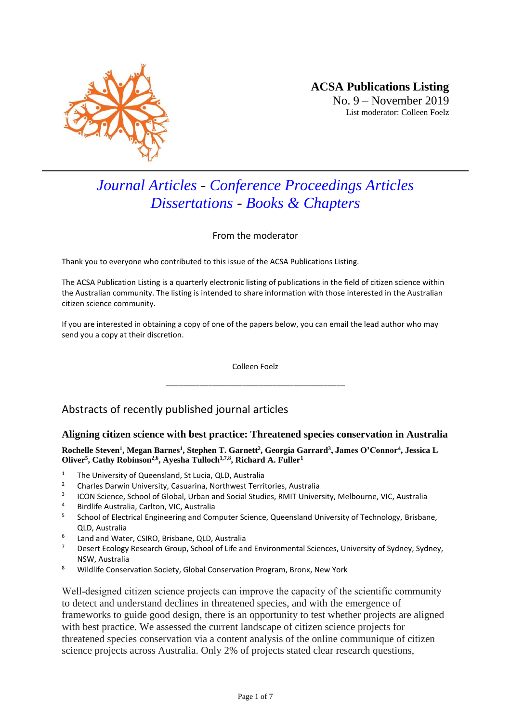

# *Journal Articles - Conference Proceedings Articles Dissertations - Books & Chapters*

From the moderator

Thank you to everyone who contributed to this issue of the ACSA Publications Listing.

The ACSA Publication Listing is a quarterly electronic listing of publications in the field of citizen science within the Australian community. The listing is intended to share information with those interested in the Australian citizen science community.

If you are interested in obtaining a copy of one of the papers below, you can email the lead author who may send you a copy at their discretion.

> Colleen Foelz \_\_\_\_\_\_\_\_\_\_\_\_\_\_\_\_\_\_\_\_\_\_\_\_\_\_\_\_\_\_\_\_\_\_\_\_\_\_\_\_\_\_

# Abstracts of recently published journal articles

## **Aligning citizen science with best practice: Threatened species conservation in Australia**

**Rochelle Steven<sup>1</sup> , Megan Barnes<sup>1</sup> , Stephen T. Garnett<sup>2</sup> , Georgia Garrard<sup>3</sup> , James O'Connor<sup>4</sup> , Jessica L Oliver<sup>5</sup> , Cathy Robinson2,6, Ayesha Tulloch1,7,8, Richard A. Fuller<sup>1</sup>**

- <sup>1</sup> The University of Queensland, St Lucia, QLD, Australia<sup>2</sup>
- <sup>2</sup> Charles Darwin University, Casuarina, Northwest Territories, Australia
- 3 ICON Science, School of Global, Urban and Social Studies, RMIT University, Melbourne, VIC, Australia
- <sup>4</sup> Birdlife Australia, Carlton, VIC, Australia
- 5 School of Electrical Engineering and Computer Science, Queensland University of Technology, Brisbane, QLD, Australia
- 6 Land and Water, CSIRO, Brisbane, QLD, Australia
- <sup>7</sup> Desert Ecology Research Group, School of Life and Environmental Sciences, University of Sydney, Sydney, NSW, Australia
- <sup>8</sup> Wildlife Conservation Society, Global Conservation Program, Bronx, New York

Well-designed citizen science projects can improve the capacity of the scientific community to detect and understand declines in threatened species, and with the emergence of frameworks to guide good design, there is an opportunity to test whether projects are aligned with best practice. We assessed the current landscape of citizen science projects for threatened species conservation via a content analysis of the online communique of citizen science projects across Australia. Only 2% of projects stated clear research questions,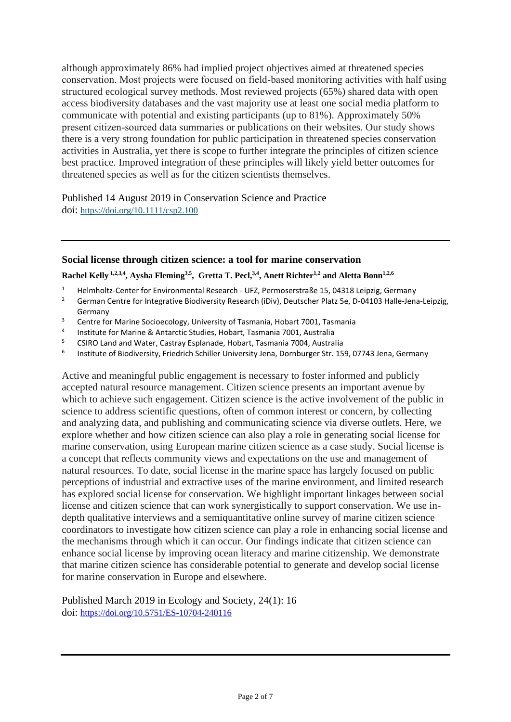although approximately 86% had implied project objectives aimed at threatened species conservation. Most projects were focused on field‐based monitoring activities with half using structured ecological survey methods. Most reviewed projects (65%) shared data with open access biodiversity databases and the vast majority use at least one social media platform to communicate with potential and existing participants (up to 81%). Approximately 50% present citizen‐sourced data summaries or publications on their websites. Our study shows there is a very strong foundation for public participation in threatened species conservation activities in Australia, yet there is scope to further integrate the principles of citizen science best practice. Improved integration of these principles will likely yield better outcomes for threatened species as well as for the citizen scientists themselves.

Published 14 August 2019 in Conservation Science and Practice doi: <https://doi.org/10.1111/csp2.100>

### **Social license through citizen science: a tool for marine conservation**

#### **Rachel Kelly 1,2,3,4 , Aysha Fleming3,5 , Gretta T. Pecl,3,4 , Anett Richter1,2 and Aletta Bonn1,2,6**

- <sup>1</sup> Helmholtz-Center for Environmental Research UFZ, Permoserstraße 15, 04318 Leipzig, Germany<br><sup>2</sup> German Centre for Integrative Biodiversity Research (iDiv), Deutscher Blatz Ee, D. 04102 Halle Jens
- <sup>2</sup> German Centre for Integrative Biodiversity Research (iDiv), Deutscher Platz 5e, D-04103 Halle-Jena-Leipzig, Germany
- <sup>3</sup> Centre for Marine Socioecology, University of Tasmania, Hobart 7001, Tasmania
- 4 Institute for Marine & Antarctic Studies, Hobart, Tasmania 7001, Australia
- <sup>5</sup> CSIRO Land and Water, Castray Esplanade, Hobart, Tasmania 7004, Australia
- 6 Institute of Biodiversity, Friedrich Schiller University Jena, Dornburger Str. 159, 07743 Jena, Germany

Active and meaningful public engagement is necessary to foster informed and publicly accepted natural resource management. Citizen science presents an important avenue by which to achieve such engagement. Citizen science is the active involvement of the public in science to address scientific questions, often of common interest or concern, by collecting and analyzing data, and publishing and communicating science via diverse outlets. Here, we explore whether and how citizen science can also play a role in generating social license for marine conservation, using European marine citizen science as a case study. Social license is a concept that reflects community views and expectations on the use and management of natural resources. To date, social license in the marine space has largely focused on public perceptions of industrial and extractive uses of the marine environment, and limited research has explored social license for conservation. We highlight important linkages between social license and citizen science that can work synergistically to support conservation. We use indepth qualitative interviews and a semiquantitative online survey of marine citizen science coordinators to investigate how citizen science can play a role in enhancing social license and the mechanisms through which it can occur. Our findings indicate that citizen science can enhance social license by improving ocean literacy and marine citizenship. We demonstrate that marine citizen science has considerable potential to generate and develop social license for marine conservation in Europe and elsewhere.

Published March 2019 in Ecology and Society, 24(1): 16 doi: <https://doi.org/10.5751/ES-10704-240116>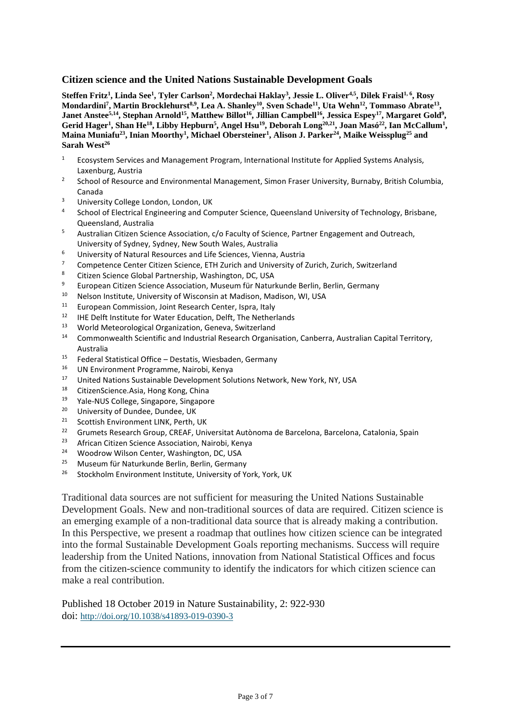#### **Citizen science and the United Nations Sustainable Development Goals**

**Steffen Fritz<sup>1</sup> , Linda See<sup>1</sup> , Tyler Carlson<sup>2</sup> , Mordechai Haklay<sup>3</sup> , Jessie L. Oliver4,5, Dilek Fraisl1, 6 , Rosy Mondardini<sup>7</sup> , Martin Brocklehurst8,9, Lea A. Shanley<sup>10</sup>, Sven Schade<sup>11</sup>, Uta Wehn<sup>12</sup>, Tommaso Abrate<sup>13</sup> , Janet Anstee5,14, Stephan Arnold<sup>15</sup>, Matthew Billot<sup>16</sup>, Jillian Campbell<sup>16</sup>, Jessica Espey<sup>17</sup>, Margaret Gold<sup>9</sup> , Gerid Hager<sup>1</sup> , Shan He<sup>18</sup>, Libby Hepburn<sup>5</sup> , Angel Hsu<sup>19</sup>, Deborah Long20,21, Joan Masó<sup>22</sup>, Ian McCallum<sup>1</sup> , Maina Muniafu<sup>23</sup>, Inian Moorthy<sup>1</sup> , Michael Obersteiner<sup>1</sup> , Alison J. Parker<sup>24</sup>, Maike Weissplug<sup>25</sup> and Sarah West<sup>26</sup>**

- <sup>1</sup> Ecosystem Services and Management Program, International Institute for Applied Systems Analysis, Laxenburg, Austria
- 2 School of Resource and Environmental Management, Simon Fraser University, Burnaby, British Columbia, Canada
- <sup>3</sup> University College London, London, UK
- 4 School of Electrical Engineering and Computer Science, Queensland University of Technology, Brisbane, Queensland, Australia
- <sup>5</sup> Australian Citizen Science Association, c/o Faculty of Science, Partner Engagement and Outreach, University of Sydney, Sydney, New South Wales, Australia
- <sup>6</sup> University of Natural Resources and Life Sciences, Vienna, Austria
- <sup>7</sup> Competence Center Citizen Science, ETH Zurich and University of Zurich, Zurich, Switzerland
- <sup>8</sup> Citizen Science Global Partnership, Washington, DC, USA<br><sup>9</sup> European Citizen Science Association, Museum für Natur
- <sup>9</sup> European Citizen Science Association, Museum für Naturkunde Berlin, Berlin, Germany<br><sup>10</sup> Nelson Institute University of Wissonsin at Madison, Madison, WL USA
- <sup>10</sup> Nelson Institute, University of Wisconsin at Madison, Madison, WI, USA<br><sup>11</sup> European Commission, Joint Besearch Conter, Japan, Japan
- <sup>11</sup> European Commission, Joint Research Center, Ispra, Italy<br><sup>12</sup> HE Dolft Institute for Water Education, Dolft, The Nother
- <sup>12</sup> IHE Delft Institute for Water Education, Delft, The Netherlands<br><sup>13</sup> World Meteorological Organization, Canova, Switzerland
- <sup>13</sup> World Meteorological Organization, Geneva, Switzerland
- <sup>14</sup> Commonwealth Scientific and Industrial Research Organisation, Canberra, Australian Capital Territory, Australia
- $15$  Federal Statistical Office Destatis, Wiesbaden, Germany
- <sup>16</sup> UN Environment Programme, Nairobi, Kenya<br><sup>17</sup> United Nations Sustainable Development Solu
- <sup>17</sup> United Nations Sustainable Development Solutions Network, New York, NY, USA<br><sup>18</sup> CitizenScience Acia, Hong Kong, China
- <sup>18</sup> CitizenScience.Asia, Hong Kong, China<br><sup>19</sup> Yale-NUS College, Singapore, Singapor
- <sup>19</sup> Yale-NUS College, Singapore, Singapore
- <sup>20</sup> University of Dundee, Dundee, UK<br><sup>21</sup> Seettish Environment UNIX Berth
- <sup>21</sup> Scottish Environment LINK, Perth, UK<br><sup>22</sup> Crumats Besearch Croup, CBEAE, Unit
- <sup>22</sup> Grumets Research Group, CREAF, Universitat Autònoma de Barcelona, Barcelona, Catalonia, Spain<br><sup>23</sup> African Citizen Science Accesiation, Nairebi, Kenya
- African Citizen Science Association, Nairobi, Kenya
- <sup>24</sup> Woodrow Wilson Center, Washington, DC, USA<br><sup>25</sup> Musoum für Naturkunde Berlin, Berlin, German
- <sup>25</sup> Museum für Naturkunde Berlin, Berlin, Germany<br><sup>26</sup> Stockholm Environment Institute, University of Ve
- <sup>26</sup> Stockholm Environment Institute, University of York, York, UK

Traditional data sources are not sufficient for measuring the United Nations Sustainable Development Goals. New and non-traditional sources of data are required. Citizen science is an emerging example of a non-traditional data source that is already making a contribution. In this Perspective, we present a roadmap that outlines how citizen science can be integrated into the formal Sustainable Development Goals reporting mechanisms. Success will require leadership from the United Nations, innovation from National Statistical Offices and focus from the citizen-science community to identify the indicators for which citizen science can make a real contribution.

Published 18 October 2019 in Nature Sustainability, 2: 922-930 doi: [http://doi.org/10.1038/s41893-019-0390-3](http://dx.doi.org/10.1038/s41893-019-0390-3)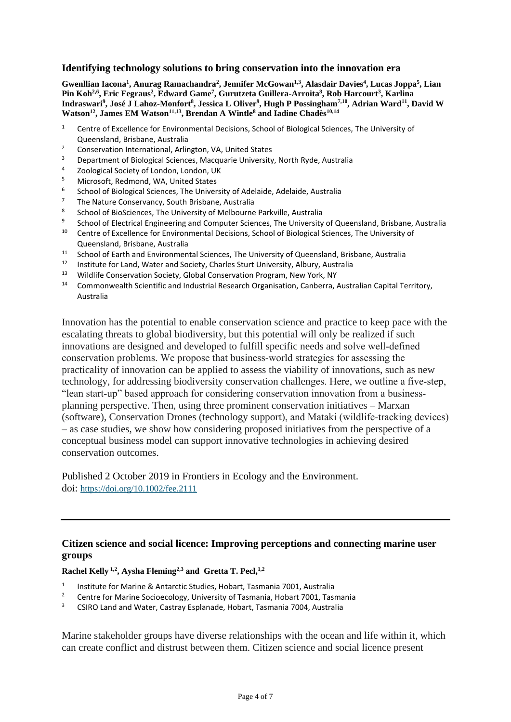### **Identifying technology solutions to bring conservation into the innovation era**

**Gwenllian Iacona<sup>1</sup> , Anurag Ramachandra<sup>2</sup> , Jennifer McGowan1,3, Alasdair Davies<sup>4</sup> , Lucas Joppa<sup>5</sup> , Lian Pin Koh2,6 , Eric Fegraus<sup>2</sup> , Edward Game<sup>7</sup> , Gurutzeta Guillera-Arroita<sup>8</sup> , Rob Harcourt<sup>3</sup> , Karlina Indraswari<sup>9</sup> , José J Lahoz-Monfort<sup>8</sup> , Jessica L Oliver<sup>9</sup> , Hugh P Possingham7,10, Adrian Ward<sup>11</sup>, David W Watson<sup>12</sup>, James EM Watson11,13, Brendan A Wintle<sup>8</sup> and Iadine Chadès10,14**

- <sup>1</sup> Centre of Excellence for Environmental Decisions, School of Biological Sciences, The University of Queensland, Brisbane, Australia
- <sup>2</sup> Conservation International, Arlington, VA, United States
- <sup>3</sup> Department of Biological Sciences, Macquarie University, North Ryde, Australia<br><sup>4</sup> Zeological Sociaty of Landan, Landan, UK
- 4 Zoological Society of London, London, UK
- <sup>5</sup> Microsoft, Redmond, WA, United States
- 6 School of Biological Sciences, The University of Adelaide, Adelaide, Australia
- <sup>7</sup> The Nature Conservancy, South Brisbane, Australia
- 8 School of BioSciences, The University of Melbourne Parkville, Australia
- 9 School of Electrical Engineering and Computer Sciences, The University of Queensland, Brisbane, Australia
- <sup>10</sup> Centre of Excellence for Environmental Decisions, School of Biological Sciences, The University of Queensland, Brisbane, Australia
- <sup>11</sup> School of Earth and Environmental Sciences, The University of Queensland, Brisbane, Australia<br><sup>12</sup> Institute for Land, Water and Society, Charles Sturt University, Album, Australia
- <sup>12</sup> Institute for Land, Water and Society, Charles Sturt University, Albury, Australia
- <sup>13</sup> Wildlife Conservation Society, Global Conservation Program, New York, NY
- <sup>14</sup> Commonwealth Scientific and Industrial Research Organisation, Canberra, Australian Capital Territory, Australia

Innovation has the potential to enable conservation science and practice to keep pace with the escalating threats to global biodiversity, but this potential will only be realized if such innovations are designed and developed to fulfill specific needs and solve well‐defined conservation problems. We propose that business‐world strategies for assessing the practicality of innovation can be applied to assess the viability of innovations, such as new technology, for addressing biodiversity conservation challenges. Here, we outline a five‐step, "lean start-up" based approach for considering conservation innovation from a businessplanning perspective. Then, using three prominent conservation initiatives – Marxan (software), Conservation Drones (technology support), and Mataki (wildlife‐tracking devices) – as case studies, we show how considering proposed initiatives from the perspective of a conceptual business model can support innovative technologies in achieving desired conservation outcomes.

Published 2 October 2019 in Frontiers in Ecology and the Environment. doi: <https://doi.org/10.1002/fee.2111>

# **Citizen science and social licence: Improving perceptions and connecting marine user groups**

#### **Rachel Kelly 1,2 , Aysha Fleming2,3 and Gretta T. Pecl,1,2**

- 1 Institute for Marine & Antarctic Studies, Hobart, Tasmania 7001, Australia
- <sup>2</sup> Centre for Marine Socioecology, University of Tasmania, Hobart 7001, Tasmania<br><sup>3</sup> CSIRO Land and Water Castray Esplanade, Hobart Tasmania 7004, Australia
- <sup>3</sup> CSIRO Land and Water, Castray Esplanade, Hobart, Tasmania 7004, Australia

Marine stakeholder groups have diverse relationships with the ocean and life within it, which can create conflict and distrust between them. Citizen science and social licence present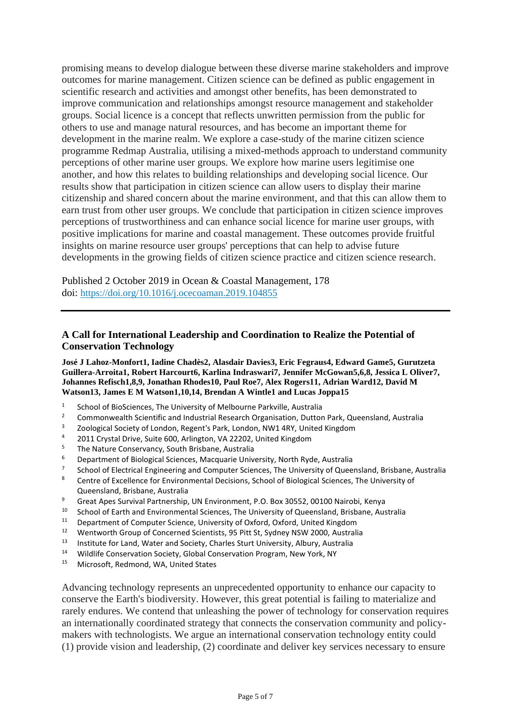promising means to develop dialogue between these diverse marine stakeholders and improve outcomes for marine management. Citizen science can be defined as public engagement in scientific research and activities and amongst other benefits, has been demonstrated to improve communication and relationships amongst resource management and stakeholder groups. Social licence is a concept that reflects unwritten permission from the public for others to use and manage natural resources, and has become an important theme for development in the marine realm. We explore a case-study of the marine citizen science programme Redmap Australia, utilising a mixed-methods approach to understand community perceptions of other marine user groups. We explore how marine users legitimise one another, and how this relates to building relationships and developing social licence. Our results show that participation in citizen science can allow users to display their marine citizenship and shared concern about the marine environment, and that this can allow them to earn trust from other user groups. We conclude that participation in citizen science improves perceptions of trustworthiness and can enhance social licence for marine user groups, with positive implications for marine and coastal management. These outcomes provide fruitful insights on marine resource user groups' perceptions that can help to advise future developments in the growing fields of citizen science practice and citizen science research.

Published 2 October 2019 in Ocean & Coastal Management, 178 doi: <https://doi.org/10.1016/j.ocecoaman.2019.104855>

# **A Call for International Leadership and Coordination to Realize the Potential of Conservation Technology**

**José J Lahoz-Monfort1, Iadine Chadès2, Alasdair Davies3, Eric Fegraus4, Edward Game5, Gurutzeta Guillera-Arroita1, Robert Harcourt6, Karlina Indraswari7, Jennifer McGowan5,6,8, Jessica L Oliver7, Johannes Refisch1,8,9, Jonathan Rhodes10, Paul Roe7, Alex Rogers11, Adrian Ward12, David M Watson13, James E M Watson1,10,14, Brendan A Wintle1 and Lucas Joppa15**

- 1 School of BioSciences, The University of Melbourne Parkville, Australia
- <sup>2</sup> Commonwealth Scientific and Industrial Research Organisation, Dutton Park, Queensland, Australia
- <sup>3</sup> Zoological Society of London, Regent's Park, London, NW1 4RY, United Kingdom<br><sup>4</sup> 2011 Crustal Drive, Suite 600, Arlington, VA 22202, United Kingdom
- 4 2011 Crystal Drive, Suite 600, Arlington, VA 22202, United Kingdom
- <sup>5</sup> The Nature Conservancy, South Brisbane, Australia<br><sup>6</sup> Department of Biological Sciences, Macquario Univ
- <sup>6</sup> Department of Biological Sciences, Macquarie University, North Ryde, Australia
- 7 School of Electrical Engineering and Computer Sciences, The University of Queensland, Brisbane, Australia
- 8 Centre of Excellence for Environmental Decisions, School of Biological Sciences, The University of Queensland, Brisbane, Australia
- <sup>9</sup> Great Apes Survival Partnership, UN Environment, P.O. Box 30552, 00100 Nairobi, Kenya<br><sup>10</sup> School of Earth and Environmental Sciences. The University of Queensland, Brishane, Aus
- <sup>10</sup> School of Earth and Environmental Sciences, The University of Queensland, Brisbane, Australia<br><sup>11</sup> Department of Computer Science, University of Outeral Outeral United Kingdom
- <sup>11</sup> Department of Computer Science, University of Oxford, Oxford, United Kingdom<br><sup>12</sup> Wentworth Group of Concerned Scientists, 95 Pitt St. Sydney NSW 2000, Australi
- <sup>12</sup> Wentworth Group of Concerned Scientists, 95 Pitt St, Sydney NSW 2000, Australia<br><sup>13</sup> Institute for Land Water and Society, Charles Sturt University, Album, Australia
- <sup>13</sup> Institute for Land, Water and Society, Charles Sturt University, Albury, Australia
- <sup>14</sup> Wildlife Conservation Society, Global Conservation Program, New York, NY<br><sup>15</sup> Misrosoft Bodmond WA United States
- Microsoft, Redmond, WA, United States

Advancing technology represents an unprecedented opportunity to enhance our capacity to conserve the Earth's biodiversity. However, this great potential is failing to materialize and rarely endures. We contend that unleashing the power of technology for conservation requires an internationally coordinated strategy that connects the conservation community and policymakers with technologists. We argue an international conservation technology entity could (1) provide vision and leadership, (2) coordinate and deliver key services necessary to ensure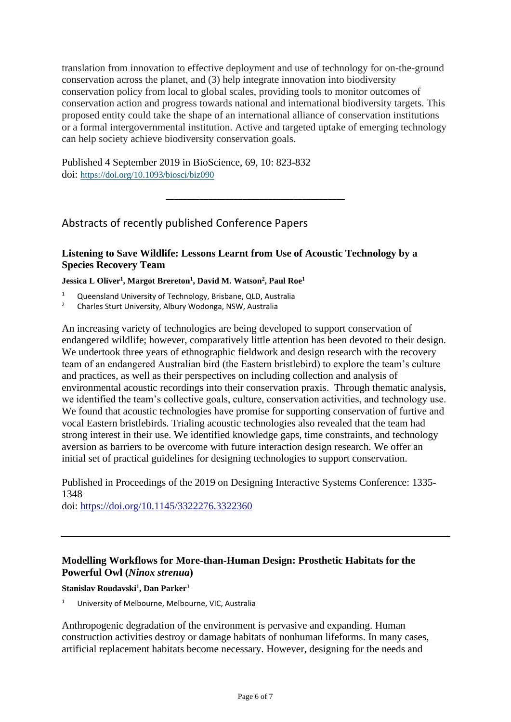translation from innovation to effective deployment and use of technology for on-the-ground conservation across the planet, and (3) help integrate innovation into biodiversity conservation policy from local to global scales, providing tools to monitor outcomes of conservation action and progress towards national and international biodiversity targets. This proposed entity could take the shape of an international alliance of conservation institutions or a formal intergovernmental institution. Active and targeted uptake of emerging technology can help society achieve biodiversity conservation goals.

\_\_\_\_\_\_\_\_\_\_\_\_\_\_\_\_\_\_\_\_\_\_\_\_\_\_\_\_\_\_\_\_\_\_\_\_\_\_\_\_\_\_

Published 4 September 2019 in BioScience, 69, 10: 823-832 doi: <https://doi.org/10.1093/biosci/biz090>

# Abstracts of recently published Conference Papers

# **Listening to Save Wildlife: Lessons Learnt from Use of Acoustic Technology by a Species Recovery Team**

**Jessica L Oliver<sup>1</sup> , Margot Brereton<sup>1</sup> , David M. Watson<sup>2</sup> , Paul Roe<sup>1</sup>**

<sup>1</sup> Queensland University of Technology, Brisbane, QLD, Australia<sup>2</sup> Charles Sturt University Album Wodenga, NSM, Australia

<sup>2</sup> Charles Sturt University, Albury Wodonga, NSW, Australia

An increasing variety of technologies are being developed to support conservation of endangered wildlife; however, comparatively little attention has been devoted to their design. We undertook three years of ethnographic fieldwork and design research with the recovery team of an endangered Australian bird (the Eastern bristlebird) to explore the team's culture and practices, as well as their perspectives on including collection and analysis of environmental acoustic recordings into their conservation praxis. Through thematic analysis, we identified the team's collective goals, culture, conservation activities, and technology use. We found that acoustic technologies have promise for supporting conservation of furtive and vocal Eastern bristlebirds. Trialing acoustic technologies also revealed that the team had strong interest in their use. We identified knowledge gaps, time constraints, and technology aversion as barriers to be overcome with future interaction design research. We offer an initial set of practical guidelines for designing technologies to support conservation.

Published in Proceedings of the 2019 on Designing Interactive Systems Conference: 1335- 1348

doi: https://doi.org[/10.1145/3322276.3322360](https://doi.org/10.1145/3322276.3322360)

# **Modelling Workflows for More-than-Human Design: Prosthetic Habitats for the Powerful Owl (***Ninox strenua***)**

#### **Stanislav Roudavski<sup>1</sup> , Dan Parker<sup>1</sup>**

<sup>1</sup> University of Melbourne, Melbourne, VIC, Australia

Anthropogenic degradation of the environment is pervasive and expanding. Human construction activities destroy or damage habitats of nonhuman lifeforms. In many cases, artificial replacement habitats become necessary. However, designing for the needs and